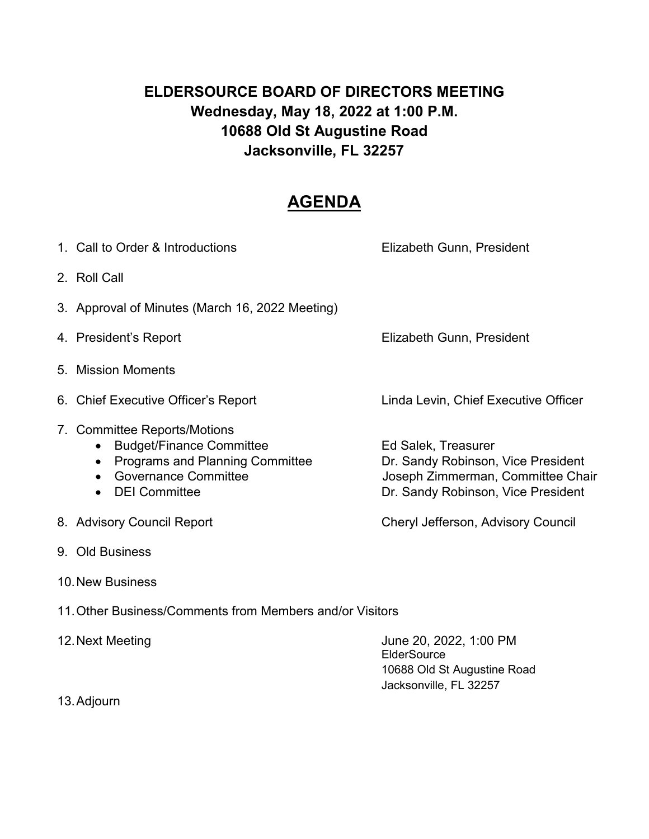# **ELDERSOURCE BOARD OF DIRECTORS MEETING Wednesday, May 18, 2022 at 1:00 P.M. 10688 Old St Augustine Road Jacksonville, FL 32257**

# **AGENDA**

| 1. Call to Order & Introductions                                                                                                                                              | Elizabeth Gunn, President                                                                                                            |
|-------------------------------------------------------------------------------------------------------------------------------------------------------------------------------|--------------------------------------------------------------------------------------------------------------------------------------|
| 2. Roll Call                                                                                                                                                                  |                                                                                                                                      |
| 3. Approval of Minutes (March 16, 2022 Meeting)                                                                                                                               |                                                                                                                                      |
| 4. President's Report                                                                                                                                                         | Elizabeth Gunn, President                                                                                                            |
| 5. Mission Moments                                                                                                                                                            |                                                                                                                                      |
| 6. Chief Executive Officer's Report                                                                                                                                           | Linda Levin, Chief Executive Officer                                                                                                 |
| 7. Committee Reports/Motions<br><b>Budget/Finance Committee</b><br><b>Programs and Planning Committee</b><br><b>Governance Committee</b><br><b>DEI</b> Committee<br>$\bullet$ | Ed Salek, Treasurer<br>Dr. Sandy Robinson, Vice President<br>Joseph Zimmerman, Committee Chair<br>Dr. Sandy Robinson, Vice President |
| 8. Advisory Council Report                                                                                                                                                    | Cheryl Jefferson, Advisory Council                                                                                                   |

- 9. Old Business
- 10.New Business

11.Other Business/Comments from Members and/or Visitors

| June 20, 2022, 1:00 PM      |  |  |
|-----------------------------|--|--|
| <b>ElderSource</b>          |  |  |
| 10688 Old St Augustine Road |  |  |
| Jacksonville, FL 32257      |  |  |
|                             |  |  |

13.Adjourn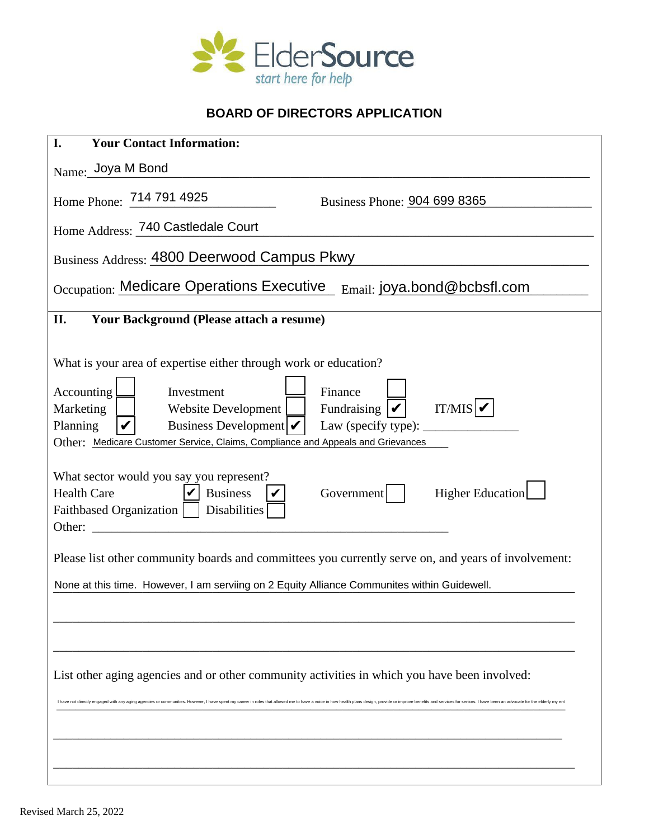

# **BOARD OF DIRECTORS APPLICATION**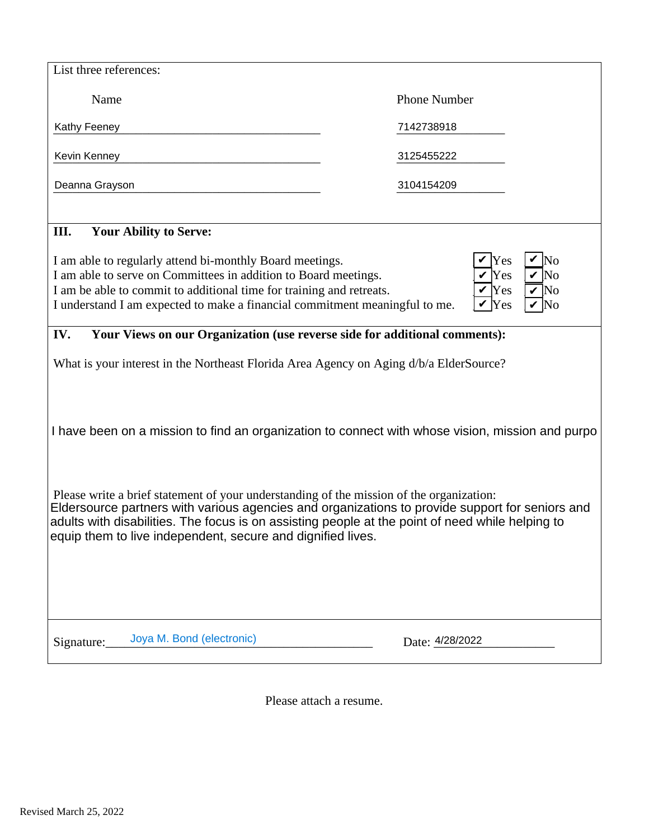| List three references:                                                                                                                                                                                                                                                                                                                                         |                                                           |  |  |  |
|----------------------------------------------------------------------------------------------------------------------------------------------------------------------------------------------------------------------------------------------------------------------------------------------------------------------------------------------------------------|-----------------------------------------------------------|--|--|--|
| Name                                                                                                                                                                                                                                                                                                                                                           | <b>Phone Number</b>                                       |  |  |  |
| <b>Kathy Feeney</b>                                                                                                                                                                                                                                                                                                                                            | 7142738918                                                |  |  |  |
| Kevin Kenney                                                                                                                                                                                                                                                                                                                                                   | 3125455222                                                |  |  |  |
| Deanna Grayson                                                                                                                                                                                                                                                                                                                                                 | 3104154209                                                |  |  |  |
| <b>III.</b> Your Ability to Serve:                                                                                                                                                                                                                                                                                                                             |                                                           |  |  |  |
| I am able to regularly attend bi-monthly Board meetings.<br>I am able to serve on Committees in addition to Board meetings.<br>I am be able to commit to additional time for training and retreats.<br>I understand I am expected to make a financial commitment meaningful to me.                                                                             | V Yes<br>V Yes<br>V Yes<br>V Yes<br>V No<br>V Yes<br>V No |  |  |  |
| IV. Your Views on our Organization (use reverse side for additional comments):                                                                                                                                                                                                                                                                                 |                                                           |  |  |  |
| What is your interest in the Northeast Florida Area Agency on Aging d/b/a ElderSource?                                                                                                                                                                                                                                                                         |                                                           |  |  |  |
|                                                                                                                                                                                                                                                                                                                                                                |                                                           |  |  |  |
| I have been on a mission to find an organization to connect with whose vision, mission and purpo                                                                                                                                                                                                                                                               |                                                           |  |  |  |
|                                                                                                                                                                                                                                                                                                                                                                |                                                           |  |  |  |
| Please write a brief statement of your understanding of the mission of the organization:<br>Eldersource partners with various agencies and organizations to provide support for seniors and<br>adults with disabilities. The focus is on assisting people at the point of need while helping to<br>equip them to live independent, secure and dignified lives. |                                                           |  |  |  |
|                                                                                                                                                                                                                                                                                                                                                                |                                                           |  |  |  |
|                                                                                                                                                                                                                                                                                                                                                                |                                                           |  |  |  |
| Signature: Joya M. Bond (electronic)                                                                                                                                                                                                                                                                                                                           | Date: 4/28/2022                                           |  |  |  |

Please attach a resume.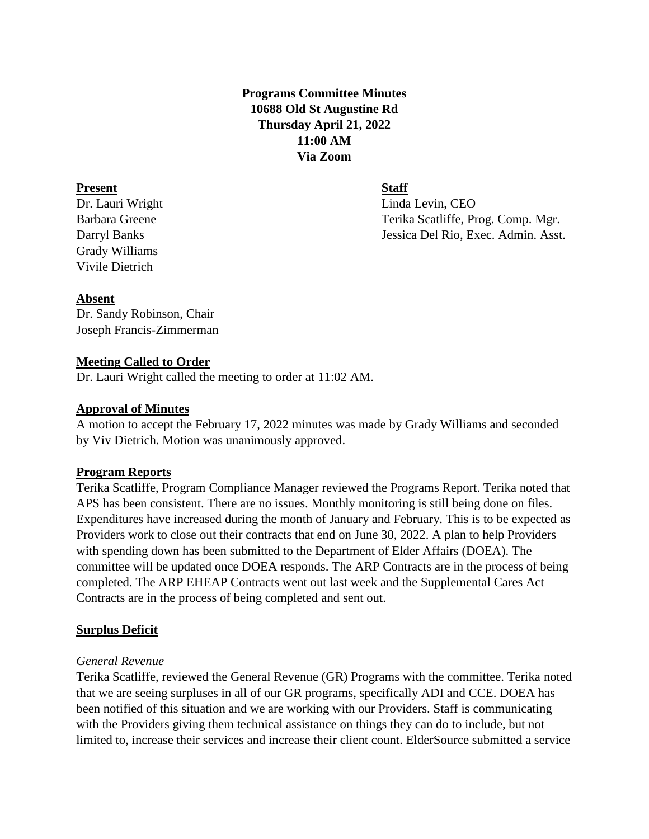# **Programs Committee Minutes 10688 Old St Augustine Rd Thursday April 21, 2022 11:00 AM Via Zoom**

#### **Present Staff**

Grady Williams Vivile Dietrich

Dr. Lauri Wright Linda Levin, CEO Barbara Greene Terika Scatliffe, Prog. Comp. Mgr. Darryl Banks Jessica Del Rio, Exec. Admin. Asst.

#### **Absent**

Dr. Sandy Robinson, Chair Joseph Francis-Zimmerman

### **Meeting Called to Order**

Dr. Lauri Wright called the meeting to order at 11:02 AM.

### **Approval of Minutes**

A motion to accept the February 17, 2022 minutes was made by Grady Williams and seconded by Viv Dietrich. Motion was unanimously approved.

# **Program Reports**

Terika Scatliffe, Program Compliance Manager reviewed the Programs Report. Terika noted that APS has been consistent. There are no issues. Monthly monitoring is still being done on files. Expenditures have increased during the month of January and February. This is to be expected as Providers work to close out their contracts that end on June 30, 2022. A plan to help Providers with spending down has been submitted to the Department of Elder Affairs (DOEA). The committee will be updated once DOEA responds. The ARP Contracts are in the process of being completed. The ARP EHEAP Contracts went out last week and the Supplemental Cares Act Contracts are in the process of being completed and sent out.

# **Surplus Deficit**

# *General Revenue*

Terika Scatliffe, reviewed the General Revenue (GR) Programs with the committee. Terika noted that we are seeing surpluses in all of our GR programs, specifically ADI and CCE. DOEA has been notified of this situation and we are working with our Providers. Staff is communicating with the Providers giving them technical assistance on things they can do to include, but not limited to, increase their services and increase their client count. ElderSource submitted a service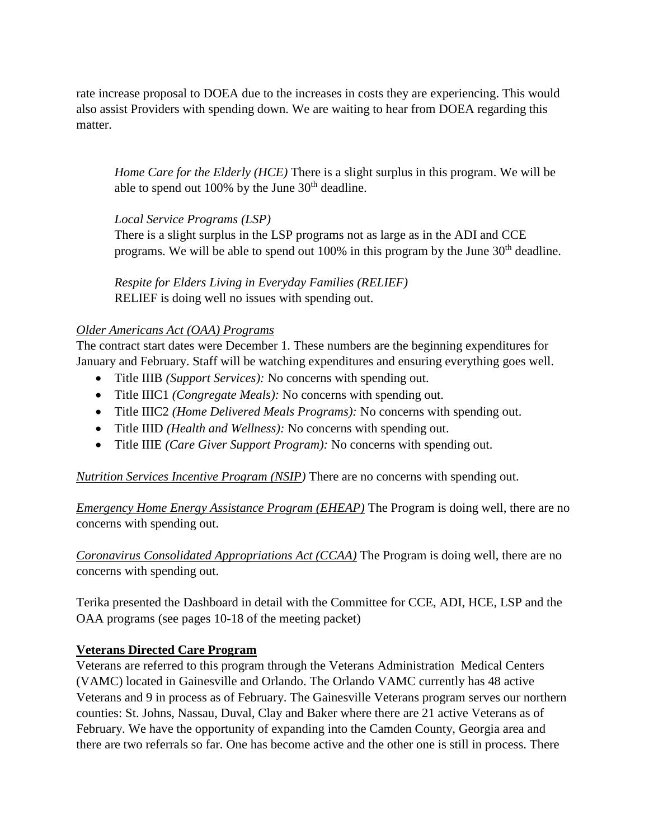rate increase proposal to DOEA due to the increases in costs they are experiencing. This would also assist Providers with spending down. We are waiting to hear from DOEA regarding this matter.

*Home Care for the Elderly (HCE)* There is a slight surplus in this program. We will be able to spend out 100% by the June  $30<sup>th</sup>$  deadline.

# *Local Service Programs (LSP)*

There is a slight surplus in the LSP programs not as large as in the ADI and CCE programs. We will be able to spend out  $100\%$  in this program by the June  $30<sup>th</sup>$  deadline.

*Respite for Elders Living in Everyday Families (RELIEF)* RELIEF is doing well no issues with spending out.

# *Older Americans Act (OAA) Programs*

The contract start dates were December 1. These numbers are the beginning expenditures for January and February. Staff will be watching expenditures and ensuring everything goes well.

- Title IIIB *(Support Services):* No concerns with spending out.
- Title IIIC1 *(Congregate Meals):* No concerns with spending out.
- Title IIIC2 *(Home Delivered Meals Programs):* No concerns with spending out.
- Title IIID *(Health and Wellness):* No concerns with spending out.
- Title IIIE *(Care Giver Support Program):* No concerns with spending out.

*Nutrition Services Incentive Program (NSIP)* There are no concerns with spending out.

*Emergency Home Energy Assistance Program (EHEAP)* The Program is doing well, there are no concerns with spending out.

*Coronavirus Consolidated Appropriations Act (CCAA)* The Program is doing well, there are no concerns with spending out.

Terika presented the Dashboard in detail with the Committee for CCE, ADI, HCE, LSP and the OAA programs (see pages 10-18 of the meeting packet)

# **Veterans Directed Care Program**

Veterans are referred to this program through the Veterans Administration Medical Centers (VAMC) located in Gainesville and Orlando. The Orlando VAMC currently has 48 active Veterans and 9 in process as of February. The Gainesville Veterans program serves our northern counties: St. Johns, Nassau, Duval, Clay and Baker where there are 21 active Veterans as of February. We have the opportunity of expanding into the Camden County, Georgia area and there are two referrals so far. One has become active and the other one is still in process. There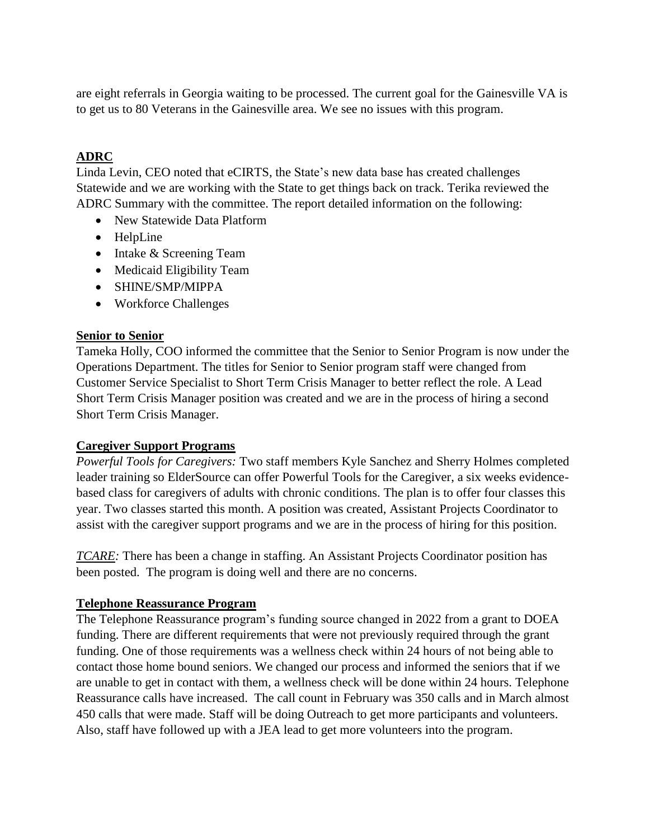are eight referrals in Georgia waiting to be processed. The current goal for the Gainesville VA is to get us to 80 Veterans in the Gainesville area. We see no issues with this program.

# **ADRC**

Linda Levin, CEO noted that eCIRTS, the State's new data base has created challenges Statewide and we are working with the State to get things back on track. Terika reviewed the ADRC Summary with the committee. The report detailed information on the following:

- New Statewide Data Platform
- HelpLine
- Intake & Screening Team
- Medicaid Eligibility Team
- SHINE/SMP/MIPPA
- Workforce Challenges

### **Senior to Senior**

Tameka Holly, COO informed the committee that the Senior to Senior Program is now under the Operations Department. The titles for Senior to Senior program staff were changed from Customer Service Specialist to Short Term Crisis Manager to better reflect the role. A Lead Short Term Crisis Manager position was created and we are in the process of hiring a second Short Term Crisis Manager.

#### **Caregiver Support Programs**

*Powerful Tools for Caregivers:* Two staff members Kyle Sanchez and Sherry Holmes completed leader training so ElderSource can offer Powerful Tools for the Caregiver, a six weeks evidencebased class for caregivers of adults with chronic conditions. The plan is to offer four classes this year. Two classes started this month. A position was created, Assistant Projects Coordinator to assist with the caregiver support programs and we are in the process of hiring for this position.

*TCARE*: There has been a change in staffing. An Assistant Projects Coordinator position has been posted. The program is doing well and there are no concerns.

# **Telephone Reassurance Program**

The Telephone Reassurance program's funding source changed in 2022 from a grant to DOEA funding. There are different requirements that were not previously required through the grant funding. One of those requirements was a wellness check within 24 hours of not being able to contact those home bound seniors. We changed our process and informed the seniors that if we are unable to get in contact with them, a wellness check will be done within 24 hours. Telephone Reassurance calls have increased. The call count in February was 350 calls and in March almost 450 calls that were made. Staff will be doing Outreach to get more participants and volunteers. Also, staff have followed up with a JEA lead to get more volunteers into the program.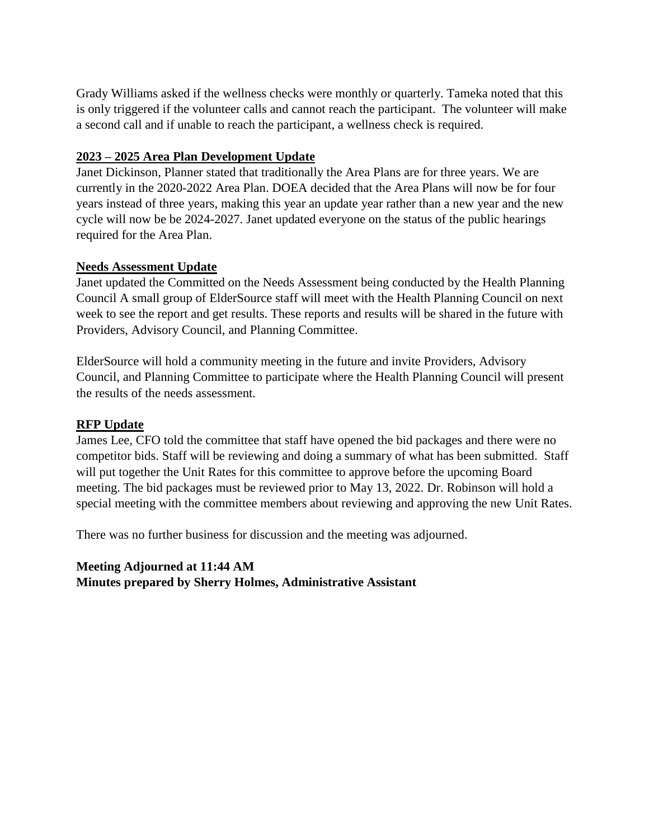Grady Williams asked if the wellness checks were monthly or quarterly. Tameka noted that this is only triggered if the volunteer calls and cannot reach the participant. The volunteer will make a second call and if unable to reach the participant, a wellness check is required.

# **2023 – 2025 Area Plan Development Update**

Janet Dickinson, Planner stated that traditionally the Area Plans are for three years. We are currently in the 2020-2022 Area Plan. DOEA decided that the Area Plans will now be for four years instead of three years, making this year an update year rather than a new year and the new cycle will now be be 2024-2027. Janet updated everyone on the status of the public hearings required for the Area Plan.

# **Needs Assessment Update**

Janet updated the Committed on the Needs Assessment being conducted by the Health Planning Council A small group of ElderSource staff will meet with the Health Planning Council on next week to see the report and get results. These reports and results will be shared in the future with Providers, Advisory Council, and Planning Committee.

ElderSource will hold a community meeting in the future and invite Providers, Advisory Council, and Planning Committee to participate where the Health Planning Council will present the results of the needs assessment.

# **RFP Update**

James Lee, CFO told the committee that staff have opened the bid packages and there were no competitor bids. Staff will be reviewing and doing a summary of what has been submitted. Staff will put together the Unit Rates for this committee to approve before the upcoming Board meeting. The bid packages must be reviewed prior to May 13, 2022. Dr. Robinson will hold a special meeting with the committee members about reviewing and approving the new Unit Rates.

There was no further business for discussion and the meeting was adjourned.

**Meeting Adjourned at 11:44 AM Minutes prepared by Sherry Holmes, Administrative Assistant**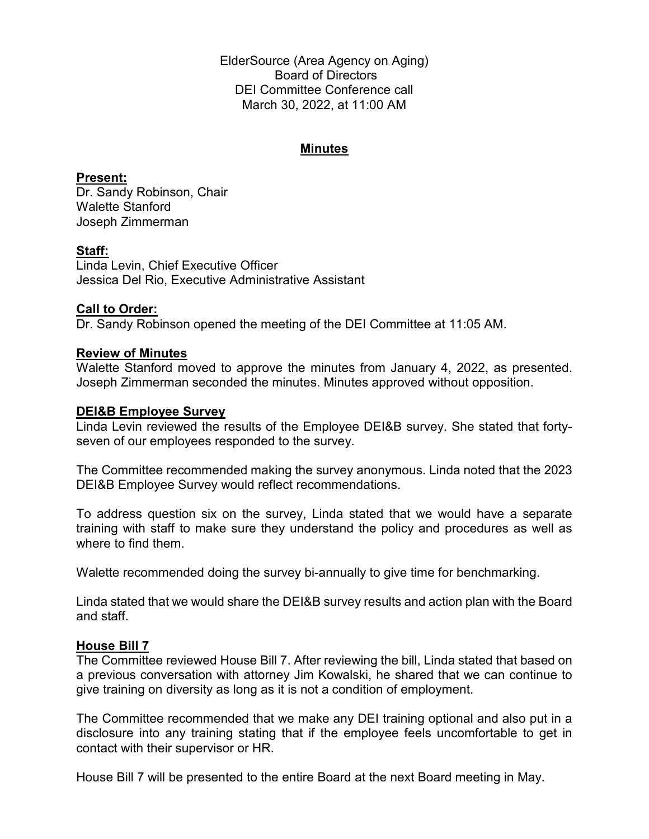ElderSource (Area Agency on Aging) Board of Directors DEI Committee Conference call March 30, 2022, at 11:00 AM

# **Minutes**

**Present:** Dr. Sandy Robinson, Chair Walette Stanford Joseph Zimmerman

### **Staff:**

Linda Levin, Chief Executive Officer Jessica Del Rio, Executive Administrative Assistant

### **Call to Order:**

Dr. Sandy Robinson opened the meeting of the DEI Committee at 11:05 AM.

#### **Review of Minutes**

Walette Stanford moved to approve the minutes from January 4, 2022, as presented. Joseph Zimmerman seconded the minutes. Minutes approved without opposition.

#### **DEI&B Employee Survey**

Linda Levin reviewed the results of the Employee DEI&B survey. She stated that fortyseven of our employees responded to the survey.

The Committee recommended making the survey anonymous. Linda noted that the 2023 DEI&B Employee Survey would reflect recommendations.

To address question six on the survey, Linda stated that we would have a separate training with staff to make sure they understand the policy and procedures as well as where to find them.

Walette recommended doing the survey bi-annually to give time for benchmarking.

Linda stated that we would share the DEI&B survey results and action plan with the Board and staff.

# **House Bill 7**

The Committee reviewed House Bill 7. After reviewing the bill, Linda stated that based on a previous conversation with attorney Jim Kowalski, he shared that we can continue to give training on diversity as long as it is not a condition of employment.

The Committee recommended that we make any DEI training optional and also put in a disclosure into any training stating that if the employee feels uncomfortable to get in contact with their supervisor or HR.

House Bill 7 will be presented to the entire Board at the next Board meeting in May.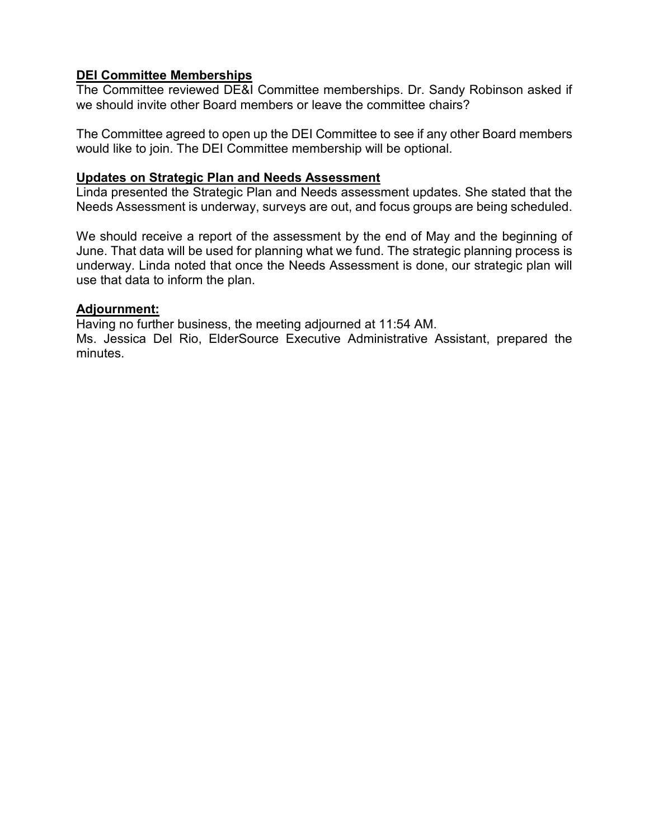# **DEI Committee Memberships**

The Committee reviewed DE&I Committee memberships. Dr. Sandy Robinson asked if we should invite other Board members or leave the committee chairs?

The Committee agreed to open up the DEI Committee to see if any other Board members would like to join. The DEI Committee membership will be optional.

## **Updates on Strategic Plan and Needs Assessment**

Linda presented the Strategic Plan and Needs assessment updates. She stated that the Needs Assessment is underway, surveys are out, and focus groups are being scheduled.

We should receive a report of the assessment by the end of May and the beginning of June. That data will be used for planning what we fund. The strategic planning process is underway. Linda noted that once the Needs Assessment is done, our strategic plan will use that data to inform the plan.

#### **Adjournment:**

Having no further business, the meeting adjourned at 11:54 AM.

Ms. Jessica Del Rio, ElderSource Executive Administrative Assistant, prepared the minutes.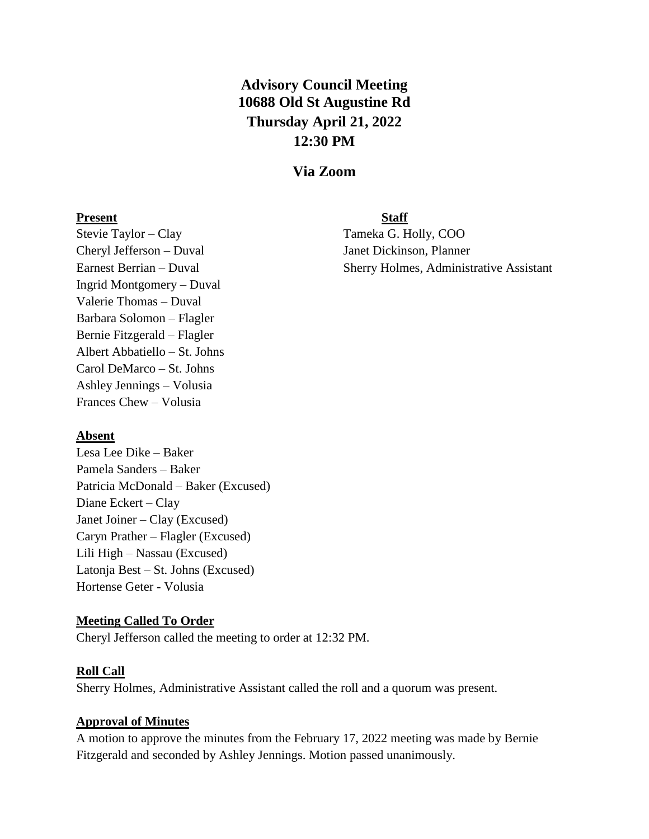# **Advisory Council Meeting 10688 Old St Augustine Rd Thursday April 21, 2022 12:30 PM**

# **Via Zoom**

#### **Present Staff**

Stevie Taylor – Clay Tameka G. Holly, COO Cheryl Jefferson – Duval Janet Dickinson, Planner Ingrid Montgomery – Duval Valerie Thomas – Duval Barbara Solomon – Flagler Bernie Fitzgerald – Flagler Albert Abbatiello – St. Johns Carol DeMarco – St. Johns Ashley Jennings – Volusia Frances Chew – Volusia

Earnest Berrian – Duval Sherry Holmes, Administrative Assistant

#### **Absent**

Lesa Lee Dike – Baker Pamela Sanders – Baker Patricia McDonald – Baker (Excused) Diane Eckert – Clay Janet Joiner – Clay (Excused) Caryn Prather – Flagler (Excused) Lili High – Nassau (Excused) Latonja Best – St. Johns (Excused) Hortense Geter - Volusia

#### **Meeting Called To Order**

Cheryl Jefferson called the meeting to order at 12:32 PM.

#### **Roll Call**

Sherry Holmes, Administrative Assistant called the roll and a quorum was present.

#### **Approval of Minutes**

A motion to approve the minutes from the February 17, 2022 meeting was made by Bernie Fitzgerald and seconded by Ashley Jennings. Motion passed unanimously.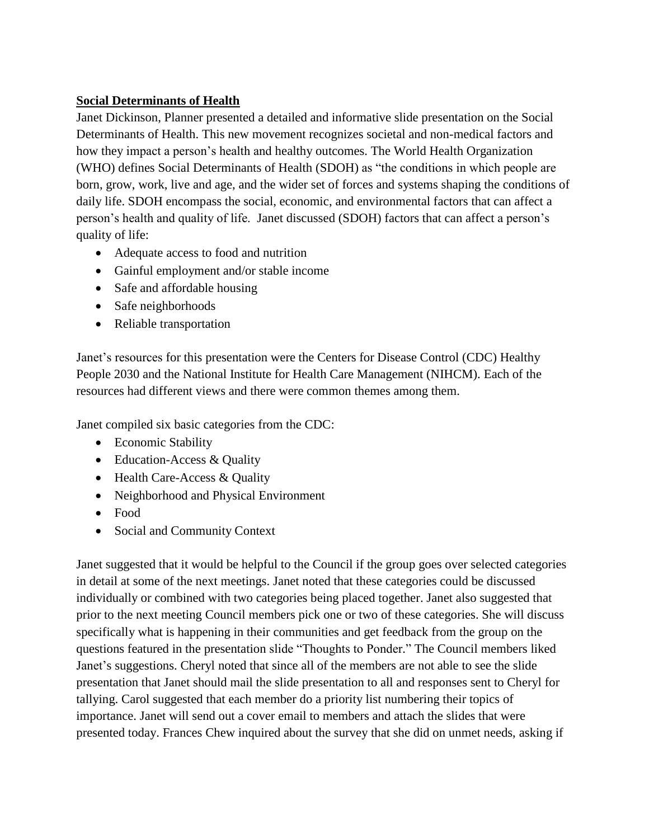# **Social Determinants of Health**

Janet Dickinson, Planner presented a detailed and informative slide presentation on the Social Determinants of Health. This new movement recognizes societal and non-medical factors and how they impact a person's health and healthy outcomes. The World Health Organization (WHO) defines Social Determinants of Health (SDOH) as "the conditions in which people are born, grow, work, live and age, and the wider set of forces and systems shaping the conditions of daily life. SDOH encompass the social, economic, and environmental factors that can affect a person's health and quality of life. Janet discussed (SDOH) factors that can affect a person's quality of life:

- Adequate access to food and nutrition
- Gainful employment and/or stable income
- Safe and affordable housing
- Safe neighborhoods
- Reliable transportation

Janet's resources for this presentation were the Centers for Disease Control (CDC) Healthy People 2030 and the National Institute for Health Care Management (NIHCM). Each of the resources had different views and there were common themes among them.

Janet compiled six basic categories from the CDC:

- Economic Stability
- Education-Access & Quality
- Health Care-Access & Quality
- Neighborhood and Physical Environment
- Food
- Social and Community Context

Janet suggested that it would be helpful to the Council if the group goes over selected categories in detail at some of the next meetings. Janet noted that these categories could be discussed individually or combined with two categories being placed together. Janet also suggested that prior to the next meeting Council members pick one or two of these categories. She will discuss specifically what is happening in their communities and get feedback from the group on the questions featured in the presentation slide "Thoughts to Ponder." The Council members liked Janet's suggestions. Cheryl noted that since all of the members are not able to see the slide presentation that Janet should mail the slide presentation to all and responses sent to Cheryl for tallying. Carol suggested that each member do a priority list numbering their topics of importance. Janet will send out a cover email to members and attach the slides that were presented today. Frances Chew inquired about the survey that she did on unmet needs, asking if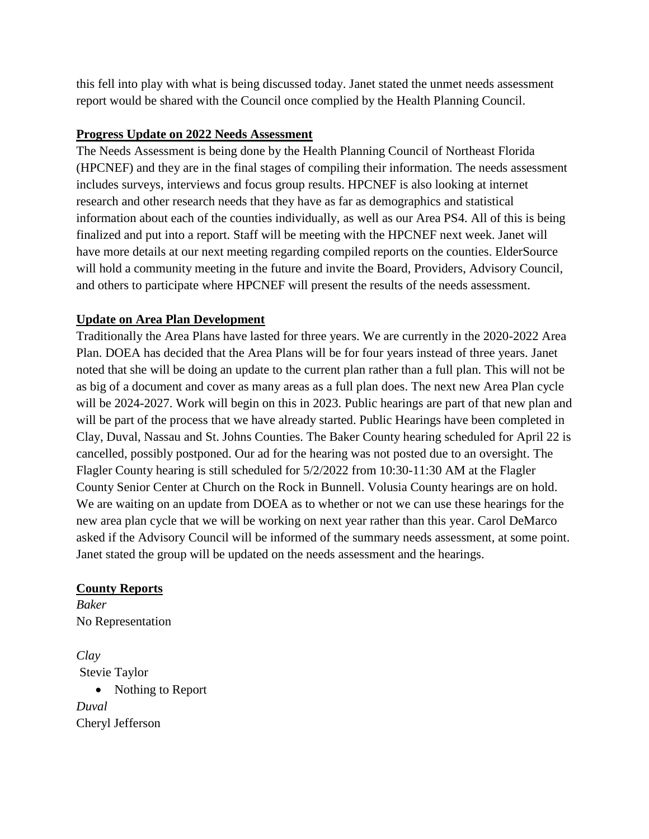this fell into play with what is being discussed today. Janet stated the unmet needs assessment report would be shared with the Council once complied by the Health Planning Council.

# **Progress Update on 2022 Needs Assessment**

The Needs Assessment is being done by the Health Planning Council of Northeast Florida (HPCNEF) and they are in the final stages of compiling their information. The needs assessment includes surveys, interviews and focus group results. HPCNEF is also looking at internet research and other research needs that they have as far as demographics and statistical information about each of the counties individually, as well as our Area PS4. All of this is being finalized and put into a report. Staff will be meeting with the HPCNEF next week. Janet will have more details at our next meeting regarding compiled reports on the counties. ElderSource will hold a community meeting in the future and invite the Board, Providers, Advisory Council, and others to participate where HPCNEF will present the results of the needs assessment.

# **Update on Area Plan Development**

Traditionally the Area Plans have lasted for three years. We are currently in the 2020-2022 Area Plan. DOEA has decided that the Area Plans will be for four years instead of three years. Janet noted that she will be doing an update to the current plan rather than a full plan. This will not be as big of a document and cover as many areas as a full plan does. The next new Area Plan cycle will be 2024-2027. Work will begin on this in 2023. Public hearings are part of that new plan and will be part of the process that we have already started. Public Hearings have been completed in Clay, Duval, Nassau and St. Johns Counties. The Baker County hearing scheduled for April 22 is cancelled, possibly postponed. Our ad for the hearing was not posted due to an oversight. The Flagler County hearing is still scheduled for 5/2/2022 from 10:30-11:30 AM at the Flagler County Senior Center at Church on the Rock in Bunnell. Volusia County hearings are on hold. We are waiting on an update from DOEA as to whether or not we can use these hearings for the new area plan cycle that we will be working on next year rather than this year. Carol DeMarco asked if the Advisory Council will be informed of the summary needs assessment, at some point. Janet stated the group will be updated on the needs assessment and the hearings.

# **County Reports**

*Baker* No Representation

*Clay* Stevie Taylor • Nothing to Report *Duval* Cheryl Jefferson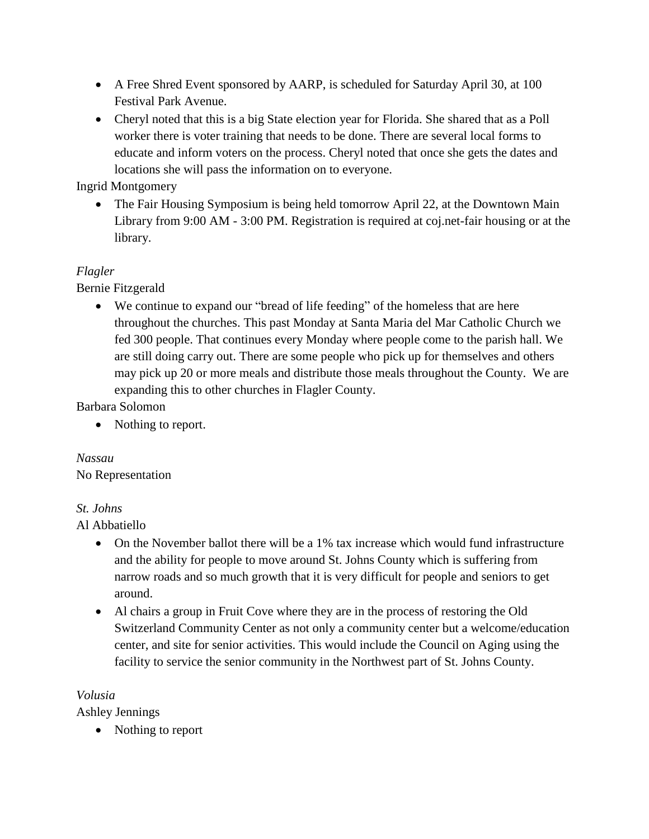- A Free Shred Event sponsored by AARP, is scheduled for Saturday April 30, at 100 Festival Park Avenue.
- Cheryl noted that this is a big State election year for Florida. She shared that as a Poll worker there is voter training that needs to be done. There are several local forms to educate and inform voters on the process. Cheryl noted that once she gets the dates and locations she will pass the information on to everyone.

Ingrid Montgomery

• The Fair Housing Symposium is being held tomorrow April 22, at the Downtown Main Library from 9:00 AM - 3:00 PM. Registration is required at coj.net-fair housing or at the library.

# *Flagler*

Bernie Fitzgerald

 We continue to expand our "bread of life feeding" of the homeless that are here throughout the churches. This past Monday at Santa Maria del Mar Catholic Church we fed 300 people. That continues every Monday where people come to the parish hall. We are still doing carry out. There are some people who pick up for themselves and others may pick up 20 or more meals and distribute those meals throughout the County. We are expanding this to other churches in Flagler County.

Barbara Solomon

• Nothing to report.

*Nassau* No Representation

# *St. Johns*

Al Abbatiello

- On the November ballot there will be a 1% tax increase which would fund infrastructure and the ability for people to move around St. Johns County which is suffering from narrow roads and so much growth that it is very difficult for people and seniors to get around.
- Al chairs a group in Fruit Cove where they are in the process of restoring the Old Switzerland Community Center as not only a community center but a welcome/education center, and site for senior activities. This would include the Council on Aging using the facility to service the senior community in the Northwest part of St. Johns County.

# *Volusia*

Ashley Jennings

• Nothing to report